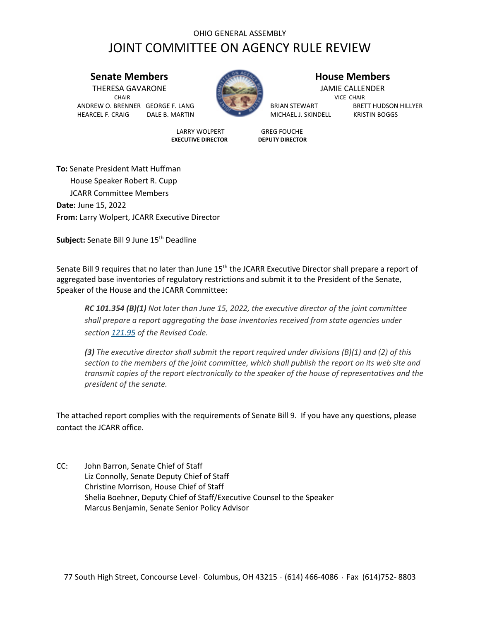## OHIO GENERAL ASSEMBLY JOINT COMMITTEE ON AGENCY RULE REVIEW

## **Senate Members House Members**

THERESA GAVARONE JAMIE CALLENDER **CHAIR** VICE CHAIR ANDREW O. BRENNER GEORGE F. LANG BRIAN BRIAN STEWART BRETT HUDSON HILLYER HEARCEL F. CRAIG DALE B. MARTIN MICHAEL J. SKINDELL KRISTIN BOGGS



LARRY WOLPERT GREG FOUCHE<br> **EXECUTIVE DIRECTOR** DEPUTY DIRECTOR **EXECUTIVE DIRECTOR** 

**To:** Senate President Matt Huffman House Speaker Robert R. Cupp JCARR Committee Members **Date:** June 15, 2022 **From:** Larry Wolpert, JCARR Executive Director

**Subject:** Senate Bill 9 June 15<sup>th</sup> Deadline

Senate Bill 9 requires that no later than June 15<sup>th</sup> the JCARR Executive Director shall prepare a report of aggregated base inventories of regulatory restrictions and submit it to the President of the Senate, Speaker of the House and the JCARR Committee:

*RC 101.354 (B)(1) Not later than June 15, 2022, the executive director of the joint committee shall prepare a report aggregating the base inventories received from state agencies under section [121.95](https://codes.ohio.gov/ohio-revised-code/section-121.95) of the Revised Code.*

*(3) The executive director shall submit the report required under divisions (B)(1) and (2) of this section to the members of the joint committee, which shall publish the report on its web site and transmit copies of the report electronically to the speaker of the house of representatives and the president of the senate.*

The attached report complies with the requirements of Senate Bill 9. If you have any questions, please contact the JCARR office.

CC: John Barron, Senate Chief of Staff Liz Connolly, Senate Deputy Chief of Staff Christine Morrison, House Chief of Staff Shelia Boehner, Deputy Chief of Staff/Executive Counsel to the Speaker Marcus Benjamin, Senate Senior Policy Advisor